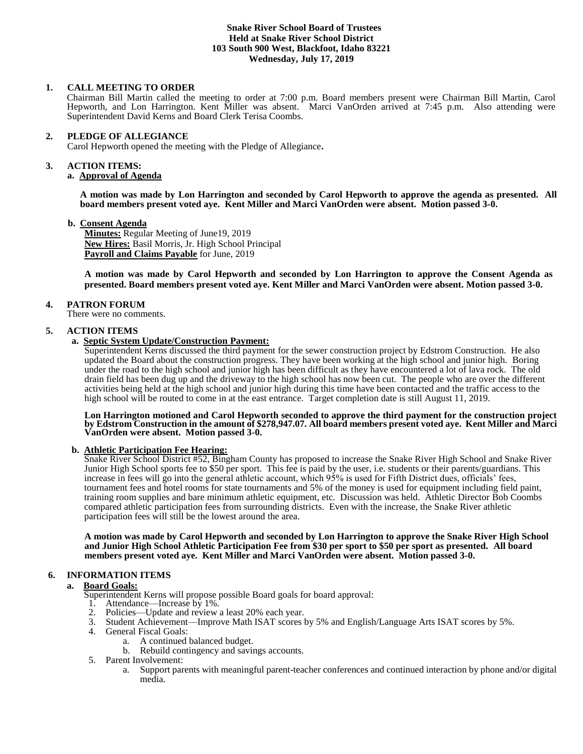## **Snake River School Board of Trustees Held at Snake River School District 103 South 900 West, Blackfoot, Idaho 83221 Wednesday, July 17, 2019**

## **1. CALL MEETING TO ORDER**

Chairman Bill Martin called the meeting to order at 7:00 p.m. Board members present were Chairman Bill Martin, Carol Hepworth, and Lon Harrington. Kent Miller was absent. Marci VanOrden arrived at 7:45 p.m. Also attending were Superintendent David Kerns and Board Clerk Terisa Coombs.

### **2. PLEDGE OF ALLEGIANCE**

Carol Hepworth opened the meeting with the Pledge of Allegiance**.** 

#### **3. ACTION ITEMS:**

### **a. Approval of Agenda**

**A motion was made by Lon Harrington and seconded by Carol Hepworth to approve the agenda as presented. All board members present voted aye. Kent Miller and Marci VanOrden were absent. Motion passed 3-0.**

#### **b. Consent Agenda**

**Minutes:** Regular Meeting of June19, 2019 **New Hires:** Basil Morris, Jr. High School Principal **Payroll and Claims Payable** for June, 2019

**A motion was made by Carol Hepworth and seconded by Lon Harrington to approve the Consent Agenda as presented. Board members present voted aye. Kent Miller and Marci VanOrden were absent. Motion passed 3-0.**

#### **4. PATRON FORUM**

There were no comments.

#### **5. ACTION ITEMS**

## **a. Septic System Update/Construction Payment:**

Superintendent Kerns discussed the third payment for the sewer construction project by Edstrom Construction. He also updated the Board about the construction progress. They have been working at the high school and junior high. Boring under the road to the high school and junior high has been difficult as they have encountered a lot of lava rock. The old drain field has been dug up and the driveway to the high school has now been cut. The people who are over the different activities being held at the high school and junior high during this time have been contacted and the traffic access to the high school will be routed to come in at the east entrance. Target completion date is still August 11, 2019.

#### **Lon Harrington motioned and Carol Hepworth seconded to approve the third payment for the construction project by Edstrom Construction in the amount of \$278,947.07. All board members present voted aye. Kent Miller and Marci VanOrden were absent. Motion passed 3-0.**

#### **b. Athletic Participation Fee Hearing:**

Snake River School District #52, Bingham County has proposed to increase the Snake River High School and Snake River Junior High School sports fee to \$50 per sport. This fee is paid by the user, i.e. students or their parents/guardians. This increase in fees will go into the general athletic account, which 95% is used for Fifth District dues, officials' fees, tournament fees and hotel rooms for state tournaments and 5% of the money is used for equipment including field paint, training room supplies and bare minimum athletic equipment, etc. Discussion was held. Athletic Director Bob Coombs compared athletic participation fees from surrounding districts. Even with the increase, the Snake River athletic participation fees will still be the lowest around the area.

**A motion was made by Carol Hepworth and seconded by Lon Harrington to approve the Snake River High School and Junior High School Athletic Participation Fee from \$30 per sport to \$50 per sport as presented. All board members present voted aye. Kent Miller and Marci VanOrden were absent. Motion passed 3-0.**

## **6. INFORMATION ITEMS**

#### **a. Board Goals:**

- Superintendent Kerns will propose possible Board goals for board approval:
- 1. Attendance—Increase by 1%.
- 2. Policies—Update and review a least 20% each year.
- 3. Student Achievement—Improve Math ISAT scores by 5% and English/Language Arts ISAT scores by 5%.
- 4. General Fiscal Goals:
	- a. A continued balanced budget.
	- b. Rebuild contingency and savings accounts.
- 5. Parent Involvement:
	- a. Support parents with meaningful parent-teacher conferences and continued interaction by phone and/or digital media.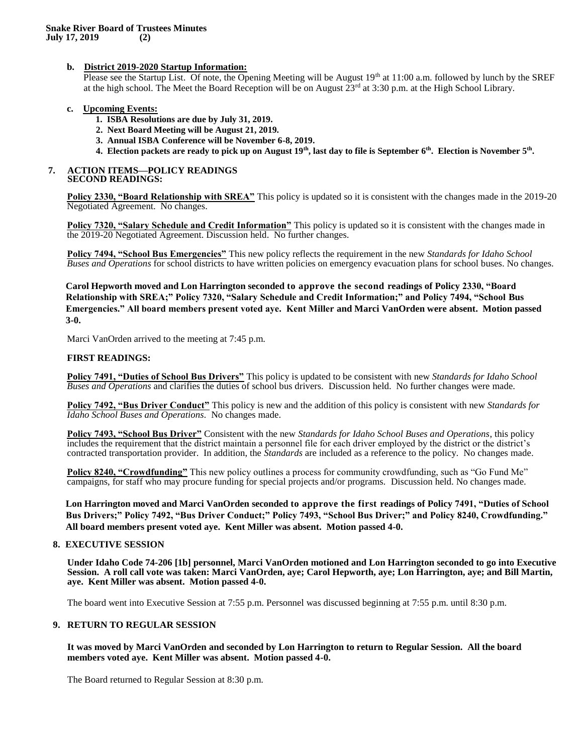## **b. District 2019-2020 Startup Information:**

Please see the Startup List. Of note, the Opening Meeting will be August 19<sup>th</sup> at 11:00 a.m. followed by lunch by the SREF at the high school. The Meet the Board Reception will be on August  $23<sup>rd</sup>$  at 3:30 p.m. at the High School Library.

## **c. Upcoming Events:**

- **1. ISBA Resolutions are due by July 31, 2019.**
- **2. Next Board Meeting will be August 21, 2019.**
- **3. Annual ISBA Conference will be November 6-8, 2019.**
- **4. Election packets are ready to pick up on August 19th, last day to file is September 6th. Election is November 5th .**

#### **7. ACTION ITEMS—POLICY READINGS SECOND READINGS:**

**Policy 2330, "Board Relationship with SREA"** This policy is updated so it is consistent with the changes made in the 2019-20 Negotiated Agreement. No changes.

**Policy 7320, "Salary Schedule and Credit Information"** This policy is updated so it is consistent with the changes made in the 2019-20 Negotiated Agreement. Discussion held. No further changes.

**Policy 7494, "School Bus Emergencies"** This new policy reflects the requirement in the new *Standards for Idaho School Buses and Operations* for school districts to have written policies on emergency evacuation plans for school buses. No changes.

**Carol Hepworth moved and Lon Harrington seconded to approve the second readings of Policy 2330, "Board Relationship with SREA;" Policy 7320, "Salary Schedule and Credit Information;" and Policy 7494, "School Bus Emergencies." All board members present voted aye. Kent Miller and Marci VanOrden were absent. Motion passed 3-0.**

Marci VanOrden arrived to the meeting at 7:45 p.m.

#### **FIRST READINGS:**

**Policy 7491, "Duties of School Bus Drivers"** This policy is updated to be consistent with new *Standards for Idaho School Buses and Operations* and clarifies the duties of school bus drivers. Discussion held. No further changes were made.

**Policy 7492, "Bus Driver Conduct"** This policy is new and the addition of this policy is consistent with new *Standards for Idaho School Buses and Operations.* No changes made.

**Policy 7493, "School Bus Driver"** Consistent with the new *Standards for Idaho School Buses and Operations*, this policy includes the requirement that the district maintain a personnel file for each driver employed by the district or the district's contracted transportation provider. In addition, the *Standards* are included as a reference to the policy. No changes made.

**Policy 8240, "Crowdfunding"** This new policy outlines a process for community crowdfunding, such as "Go Fund Me" campaigns, for staff who may procure funding for special projects and/or programs. Discussion held. No changes made.

**Lon Harrington moved and Marci VanOrden seconded to approve the first readings of Policy 7491, "Duties of School Bus Drivers;" Policy 7492, "Bus Driver Conduct;" Policy 7493, "School Bus Driver;" and Policy 8240, Crowdfunding." All board members present voted aye. Kent Miller was absent. Motion passed 4-0.**

## **8. EXECUTIVE SESSION**

**Under Idaho Code 74-206 [1b] personnel, Marci VanOrden motioned and Lon Harrington seconded to go into Executive Session. A roll call vote was taken: Marci VanOrden, aye; Carol Hepworth, aye; Lon Harrington, aye; and Bill Martin, aye. Kent Miller was absent. Motion passed 4-0.** 

The board went into Executive Session at 7:55 p.m. Personnel was discussed beginning at 7:55 p.m. until 8:30 p.m.

## **9. RETURN TO REGULAR SESSION**

**It was moved by Marci VanOrden and seconded by Lon Harrington to return to Regular Session. All the board members voted aye. Kent Miller was absent. Motion passed 4-0.** 

The Board returned to Regular Session at 8:30 p.m.